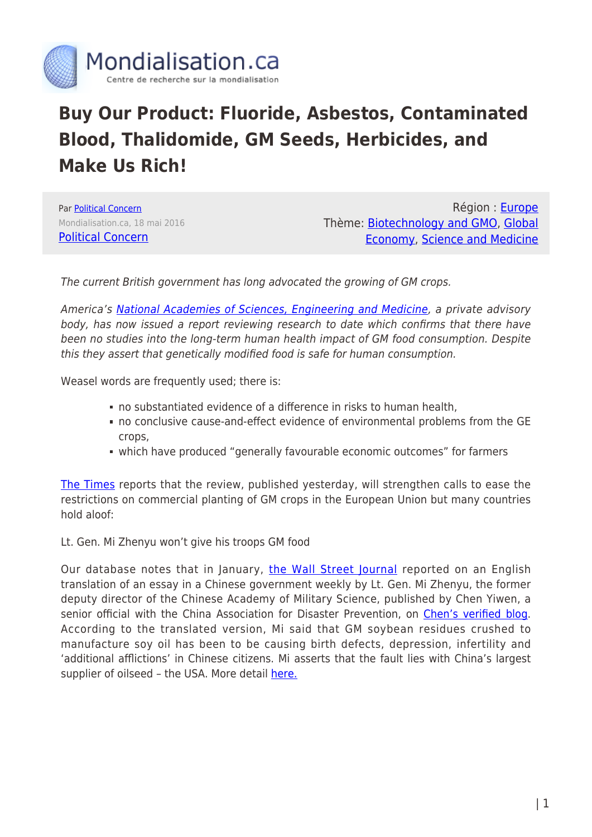

## **Buy Our Product: Fluoride, Asbestos, Contaminated Blood, Thalidomide, GM Seeds, Herbicides, and Make Us Rich!**

Par [Political Concern](https://www.mondialisation.ca/author/political-concern) Mondialisation.ca, 18 mai 2016 [Political Concern](https://politicalcleanup.wordpress.com/2016/05/18/buy-our-product-fluoride-asbestos-contaminated-blood-thalidomide-gm-seeds-herbicides-and-make-us-rich/)

Région : [Europe](https://www.mondialisation.ca/region/europe) Thème: [Biotechnology and GMO](https://www.mondialisation.ca/theme/biotechnology-and-gmo), [Global](https://www.mondialisation.ca/theme/global-economy) [Economy](https://www.mondialisation.ca/theme/global-economy), [Science and Medicine](https://www.mondialisation.ca/theme/science-and-medicine)

The current British government has long advocated the growing of GM crops.

America's [National Academies of Sciences, Engineering and Medicine,](http://www.nationalacademies.org/about/whoweare/index.html) a private advisory body, has now issued a report reviewing research to date which confirms that there have been no studies into the long-term human health impact of GM food consumption. Despite this they assert that genetically modified food is safe for human consumption.

Weasel words are frequently used; there is:

- no substantiated evidence of a difference in risks to human health,
- no conclusive cause-and-effect evidence of environmental problems from the GE crops,
- which have produced "generally favourable economic outcomes" for farmers

[The Times](http://www.thetimes.co.uk/edition/news/gm-food-is-safe-to-eat-say-world-s-leading-scientists-bpdf5ndf2) reports that the review, published yesterday, will strengthen calls to ease the restrictions on commercial planting of GM crops in the European Union but many countries hold aloof:

Lt. Gen. Mi Zhenyu won't give his troops GM food

Our database notes that in January, [the Wall Street Journal](http://blogs.wsj.com/chinarealtime/2014/05/14/claims-that-u-s-soybeans-cause-infertility-stoke-chinas-gmo-battle/) reported on an English translation of an essay in a Chinese government weekly by Lt. Gen. Mi Zhenyu, the former deputy director of the Chinese Academy of Military Science, published by Chen Yiwen, a senior official with the China Association for Disaster Prevention, on [Chen's verified blog.](http://blog.sina.com.cn/s/blog_4bb17e9d0102edhg.html) According to the translated version, Mi said that GM soybean residues crushed to manufacture soy oil has been to be causing birth defects, depression, infertility and 'additional afflictions' in Chinese citizens. Mi asserts that the fault lies with China's largest supplier of oilseed - the USA. More detail [here.](http://www.nhrighttoknowgmo.org/Of_Interest/Entries/2014/5/11_Chinese.html)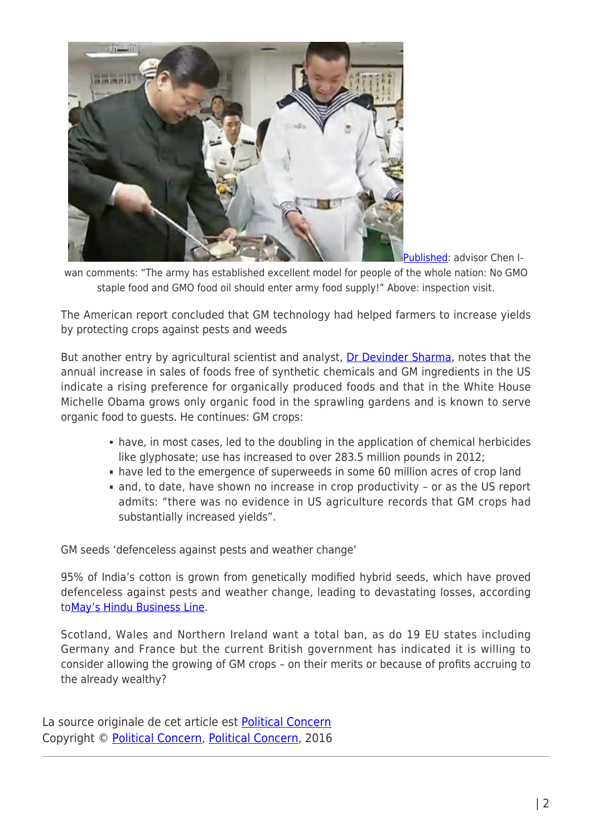

[Published](https://gmandchemicalindustry9.wordpress.com/2016/01/25/why-does-the-chinese-ministry-protect-monsantos-business-secrets/): advisor Chen I-

wan comments: "The army has established excellent model for people of the whole nation: No GMO staple food and GMO food oil should enter army food supply!" Above: inspection visit.

The American report concluded that GM technology had helped farmers to increase yields by protecting crops against pests and weeds

But another entry by agricultural scientist and analyst, [Dr Devinder Sharma](http://www.mindfully.org/devindersharma/Sharma-Biographical.htm), notes that the annual increase in sales of foods free of synthetic chemicals and GM ingredients in the US indicate a rising preference for organically produced foods and that in the White House Michelle Obama grows only organic food in the sprawling gardens and is known to serve organic food to guests. He continues: GM crops:

- have, in most cases, led to the doubling in the application of chemical herbicides like glyphosate; use has increased to over 283.5 million pounds in 2012;
- have led to the emergence of superweeds in some 60 million acres of crop land
- and, to date, have shown no increase in crop productivity or as the US report admits: "there was no evidence in US agriculture records that GM crops had substantially increased yields".

GM seeds 'defenceless against pests and weather change'

95% of India's cotton is grown from genetically modified hybrid seeds, which have proved defenceless against pests and weather change, leading to devastating losses, according t[oMay's Hindu Business Line.](http://www.thehindubusinessline.com/blink/know/fly-in-the-face-of-bt-cotton/article8561303.ece)

Scotland, Wales and Northern Ireland want a total ban, as do 19 EU states including Germany and France but the current British government has indicated it is willing to consider allowing the growing of GM crops – on their merits or because of profits accruing to the already wealthy?

La source originale de cet article est [Political Concern](https://politicalcleanup.wordpress.com/2016/05/18/buy-our-product-fluoride-asbestos-contaminated-blood-thalidomide-gm-seeds-herbicides-and-make-us-rich/) Copyright © [Political Concern](https://www.mondialisation.ca/author/political-concern), [Political Concern](https://politicalcleanup.wordpress.com/2016/05/18/buy-our-product-fluoride-asbestos-contaminated-blood-thalidomide-gm-seeds-herbicides-and-make-us-rich/), 2016